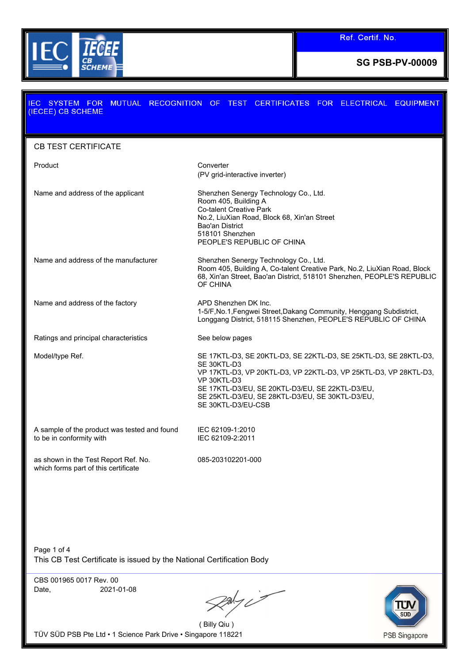

### MUTUAL RECOGNITION OF TEST CERTIFICATES FOR ELECTRICAL EQUIPMENT **EC SYSTEM FOR** (IECEE) CB SCHEME CB TEST CERTIFICATE Product **Converter** (PV grid-interactive inverter) Name and address of the applicant Shenzhen Senergy Technology Co., Ltd. Room 405, Building A Co-talent Creative Park No.2, LiuXian Road, Block 68, Xin'an Street Bao'an District 518101 Shenzhen PEOPLE'S REPUBLIC OF CHINA Name and address of the manufacturer Shenzhen Senergy Technology Co., Ltd. Room 405, Building A, Co-talent Creative Park, No.2, LiuXian Road, Block 68, Xin'an Street, Bao'an District, 518101 Shenzhen, PEOPLE'S REPUBLIC OF CHINA Name and address of the factory **APD** Shenzhen DK Inc. 1-5/F,No.1,Fengwei Street,Dakang Community, Henggang Subdistrict, Longgang District, 518115 Shenzhen, PEOPLE'S REPUBLIC OF CHINA Ratings and principal characteristics See below pages Model/type Ref. SE 17KTL-D3, SE 20KTL-D3, SE 22KTL-D3, SE 25KTL-D3, SE 28KTL-D3, SE 30KTL-D3 VP 17KTL-D3, VP 20KTL-D3, VP 22KTL-D3, VP 25KTL-D3, VP 28KTL-D3, VP 30KTL-D3 SE 17KTL-D3/EU, SE 20KTL-D3/EU, SE 22KTL-D3/EU, SE 25KTL-D3/EU, SE 28KTL-D3/EU, SE 30KTL-D3/EU, SE 30KTL-D3/EU-CSB A sample of the product was tested and found IEC 62109-1:2010 to be in conformity with IEC 62109-2:2011 as shown in the Test Report Ref. No. 085-203102201-000which forms part of this certificate Page 1 of 4 This CB Test Certificate is issued by the National Certification Body

CBS 001965 0017 Rev. 00 Date, 2021-01-08

entres

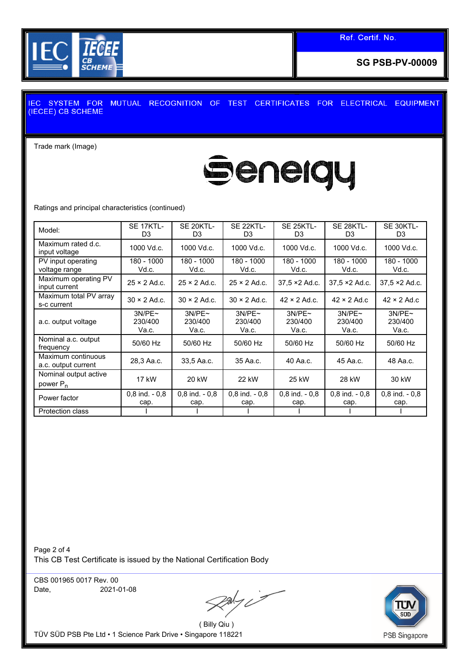

#### MUTUAL RECOGNITION OF TEST CERTIFICATES FOR ELECTRICAL EQUIPMENT **EC SYSTEM FOR** (IECEE) CB SCHEME

Trade mark (Image)

# Eenergy

Ratings and principal characteristics (continued)

| Model:                                        | SE 17KTL-<br>D <sub>3</sub> | SE 20KTL-<br>D3            | SE 22KTL-<br>D <sub>3</sub> | SE 25KTL-<br>D3            | SE 28KTL-<br>D3            | SE 30KTL-<br>D <sub>3</sub> |
|-----------------------------------------------|-----------------------------|----------------------------|-----------------------------|----------------------------|----------------------------|-----------------------------|
| Maximum rated d.c.<br>input voltage           | 1000 Vd.c.                  | 1000 Vd.c.                 | 1000 Vd.c.                  | 1000 Vd.c.                 | 1000 Vd.c.                 | 1000 Vd.c.                  |
| PV input operating<br>voltage range           | 180 - 1000<br>Vd.c.         | 180 - 1000<br>Vd.c.        | 180 - 1000<br>Vd.c.         | 180 - 1000<br>Vd.c.        | 180 - 1000<br>Vd.c.        | 180 - 1000<br>Vd.c.         |
| Maximum operating PV<br>input current         | $25 \times 2$ Ad.c.         | $25 \times 2$ Ad.c.        | $25 \times 2$ Ad.c.         | $37.5 \times 2$ Ad.c.      | $37.5 \times 2$ Ad.c.      | $37.5 \times 2$ Ad.c.       |
| Maximum total PV array<br>s-c current         | $30 \times 2$ Ad.c.         | $30 \times 2$ Ad.c.        | $30 \times 2$ Ad.c.         | $42 \times 2$ Ad.c.        | $42 \times 2$ Ad.c         | $42 \times 2$ Ad.c          |
| a.c. output voltage                           | 3N/PE~<br>230/400<br>Va.c.  | 3N/PE~<br>230/400<br>Va.c. | 3N/PE~<br>230/400<br>Va.c.  | 3N/PE~<br>230/400<br>Va.c. | 3N/PE~<br>230/400<br>Va.c. | 3N/PE~<br>230/400<br>Va.c.  |
| Nominal a.c. output<br>frequency              | 50/60 Hz                    | 50/60 Hz                   | 50/60 Hz                    | 50/60 Hz                   | 50/60 Hz                   | 50/60 Hz                    |
| Maximum continuous<br>a.c. output current     | 28,3 Aa.c.                  | 33,5 Aa.c.                 | 35 Aa.c.                    | 40 Aa.c.                   | 45 Aa.c.                   | 48 Aa.c.                    |
| Nominal output active<br>power P <sub>n</sub> | 17 kW                       | 20 kW                      | 22 kW                       | 25 kW                      | 28 kW                      | 30 kW                       |
| Power factor                                  | $0,8$ ind. $-0,8$<br>cap.   | $0.8$ ind. $-0.8$<br>cap.  | $0,8$ ind. $-0,8$<br>cap.   | $0,8$ ind. $-0,8$<br>cap.  | $0.8$ ind. $-0.8$<br>cap.  | $0,8$ ind. $-0,8$<br>cap.   |
| <b>Protection class</b>                       |                             |                            |                             |                            |                            |                             |

Page 2 of 4 This CB Test Certificate is issued by the National Certification Body

CBS 001965 0017 Rev. 00 Date, 2021-01-08

Alyci

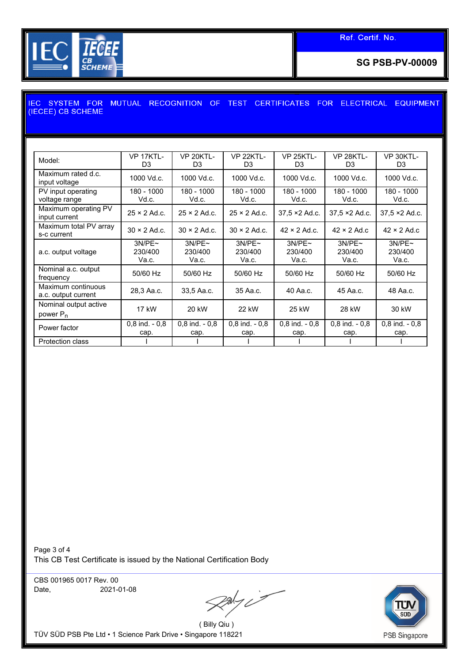



## IEC SYSTEM FOR MUTUAL RECOGNITION OF TEST CERTIFICATES FOR ELECTRICAL EQUIPMENT<br>(IECEE) CB SCHEME

| Model:                                    | VP 17KTL-           | VP 20KTL-           | VP 22KTL-           | <b>VP 25KTL-</b>      | VP 28KTL-             | VP 30KTL-             |
|-------------------------------------------|---------------------|---------------------|---------------------|-----------------------|-----------------------|-----------------------|
|                                           | D <sub>3</sub>      | D3                  | D3                  | D3                    | D3                    | D3                    |
| Maximum rated d.c.<br>input voltage       | 1000 Vd.c.          | 1000 Vd.c.          | 1000 Vd.c.          | 1000 Vd.c.            | 1000 Vd.c.            | 1000 Vd.c.            |
| PV input operating                        | 180 - 1000          | 180 - 1000          | 180 - 1000          | 180 - 1000            | 180 - 1000            | 180 - 1000            |
| voltage range                             | Vd.c.               | Vd.c.               | Vd.c.               | Vd.c.                 | Vd.c.                 | Vd.c.                 |
| Maximum operating PV<br>input current     | $25 \times 2$ Ad.c. | $25 \times 2$ Ad.c. | $25 \times 2$ Ad.c. | $37,5 \times 2$ Ad.c. | $37.5 \times 2$ Ad.c. | $37.5 \times 2$ Ad.c. |
| Maximum total PV array<br>s-c current     | $30 \times 2$ Ad.c. | $30 \times 2$ Ad.c. | $30 \times 2$ Ad.c. | $42 \times 2$ Ad.c.   | $42 \times 2$ Ad.c    | $42 \times 2$ Ad.c    |
|                                           | 3N/PE~              | 3N/PE~              | 3N/PE~              | 3N/PE~                | 3N/PE~                | 3N/PE~                |
| a.c. output voltage                       | 230/400             | 230/400             | 230/400             | 230/400               | 230/400               | 230/400               |
|                                           | Va.c.               | Va.c.               | Va.c.               | Va.c.                 | Va.c.                 | Va.c.                 |
|                                           |                     |                     |                     |                       |                       |                       |
| Nominal a.c. output<br>frequency          | 50/60 Hz            | 50/60 Hz            | 50/60 Hz            | 50/60 Hz              | 50/60 Hz              | 50/60 Hz              |
| Maximum continuous<br>a.c. output current | 28,3 Aa.c.          | 33,5 Aa.c.          | 35 Aa.c.            | 40 Aa.c.              | 45 Aa.c.              | 48 Aa.c.              |
| Nominal output active                     | 17 kW               | 20 kW               | 22 kW               | 25 kW                 | 28 kW                 | 30 kW                 |
| power $P_n$                               |                     |                     |                     |                       |                       |                       |
| Power factor                              | $0.8$ ind. $-0.8$   | $0.8$ ind. $-0.8$   | $0.8$ ind. $-0.8$   | $0.8$ ind. $-0.8$     | $0.8$ ind. $-0.8$     | $0,8$ ind. $-0,8$     |
|                                           | cap.                | cap.                | cap.                | cap.                  | cap.                  | cap.                  |
| <b>Protection class</b>                   |                     |                     |                     |                       |                       |                       |

Page 3 of 4 This CB Test Certificate is issued by the National Certification Body

CBS 001965 0017 Rev. 00 Date, 2021-01-08

Party it